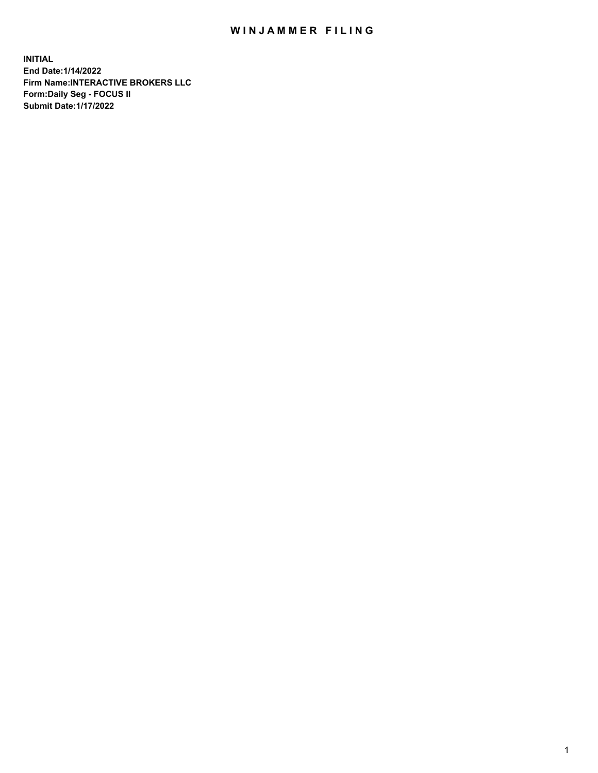## WIN JAMMER FILING

**INITIAL End Date:1/14/2022 Firm Name:INTERACTIVE BROKERS LLC Form:Daily Seg - FOCUS II Submit Date:1/17/2022**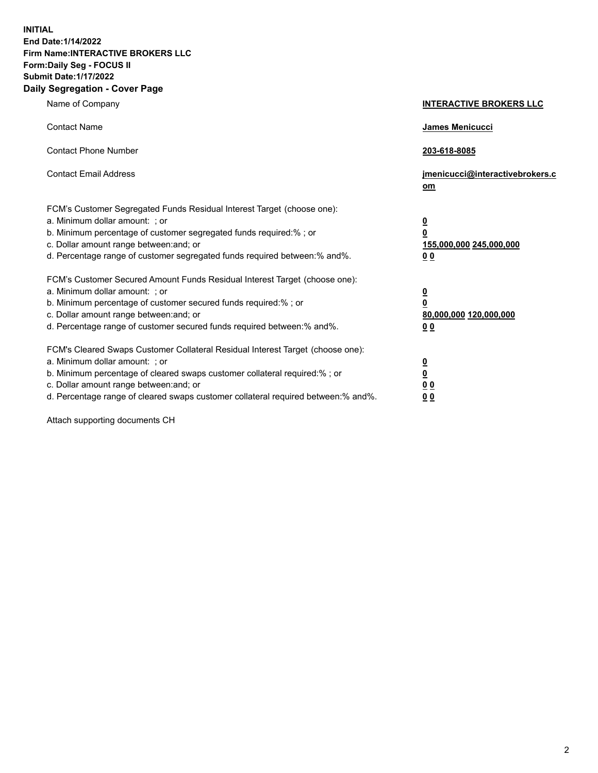**INITIAL End Date:1/14/2022 Firm Name:INTERACTIVE BROKERS LLC Form:Daily Seg - FOCUS II Submit Date:1/17/2022 Daily Segregation - Cover Page**

| Name of Company                                                                                                                                                                                                                                                                                                               | <b>INTERACTIVE BROKERS LLC</b>                                                                  |  |
|-------------------------------------------------------------------------------------------------------------------------------------------------------------------------------------------------------------------------------------------------------------------------------------------------------------------------------|-------------------------------------------------------------------------------------------------|--|
| <b>Contact Name</b>                                                                                                                                                                                                                                                                                                           | James Menicucci                                                                                 |  |
| <b>Contact Phone Number</b>                                                                                                                                                                                                                                                                                                   | 203-618-8085                                                                                    |  |
| <b>Contact Email Address</b>                                                                                                                                                                                                                                                                                                  | jmenicucci@interactivebrokers.c<br><u>om</u>                                                    |  |
| FCM's Customer Segregated Funds Residual Interest Target (choose one):<br>a. Minimum dollar amount: ; or<br>b. Minimum percentage of customer segregated funds required:% ; or<br>c. Dollar amount range between: and; or<br>d. Percentage range of customer segregated funds required between:% and%.                        | $\overline{\mathbf{0}}$<br>$\overline{\mathbf{0}}$<br>155,000,000 245,000,000<br>0 <sub>0</sub> |  |
| FCM's Customer Secured Amount Funds Residual Interest Target (choose one):<br>a. Minimum dollar amount: ; or<br>b. Minimum percentage of customer secured funds required:%; or<br>c. Dollar amount range between: and; or<br>d. Percentage range of customer secured funds required between:% and%.                           | $\overline{\mathbf{0}}$<br>$\overline{\mathbf{0}}$<br>80,000,000 120,000,000<br>0 <sub>0</sub>  |  |
| FCM's Cleared Swaps Customer Collateral Residual Interest Target (choose one):<br>a. Minimum dollar amount: ; or<br>b. Minimum percentage of cleared swaps customer collateral required:%; or<br>c. Dollar amount range between: and; or<br>d. Percentage range of cleared swaps customer collateral required between:% and%. | $\overline{\mathbf{0}}$<br>$\overline{\mathbf{0}}$<br>0 <sub>0</sub><br>0 <sub>0</sub>          |  |

Attach supporting documents CH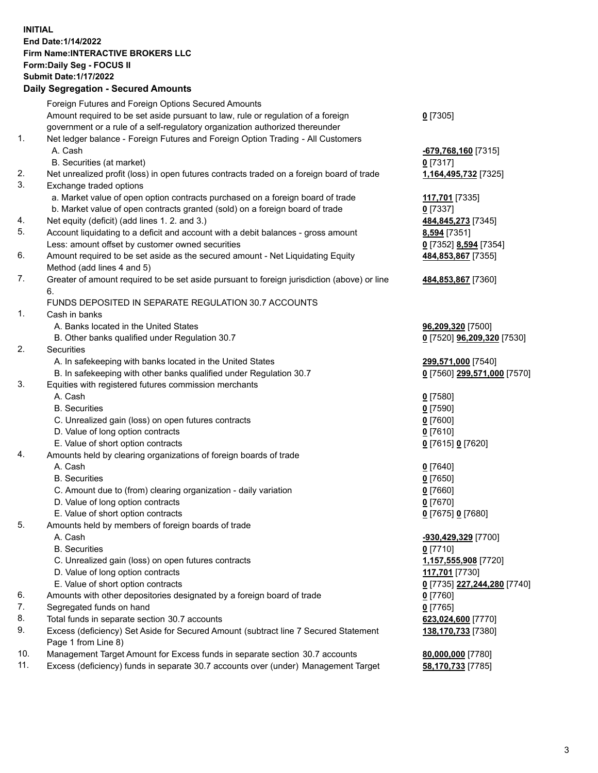**INITIAL End Date:1/14/2022 Firm Name:INTERACTIVE BROKERS LLC Form:Daily Seg - FOCUS II Submit Date:1/17/2022 Daily Segregation - Secured Amounts**

## Foreign Futures and Foreign Options Secured Amounts Amount required to be set aside pursuant to law, rule or regulation of a foreign government or a rule of a self-regulatory organization authorized thereunder **0** [7305] 1. Net ledger balance - Foreign Futures and Foreign Option Trading - All Customers A. Cash **-679,768,160** [7315] B. Securities (at market) **0** [7317] 2. Net unrealized profit (loss) in open futures contracts traded on a foreign board of trade **1,164,495,732** [7325] 3. Exchange traded options a. Market value of open option contracts purchased on a foreign board of trade **117,701** [7335] b. Market value of open contracts granted (sold) on a foreign board of trade **0** [7337] 4. Net equity (deficit) (add lines 1. 2. and 3.) **484,845,273** [7345] 5. Account liquidating to a deficit and account with a debit balances - gross amount **8,594** [7351] Less: amount offset by customer owned securities **0** [7352] **8,594** [7354] 6. Amount required to be set aside as the secured amount - Net Liquidating Equity Method (add lines 4 and 5) **484,853,867** [7355] 7. Greater of amount required to be set aside pursuant to foreign jurisdiction (above) or line 6. **484,853,867** [7360] FUNDS DEPOSITED IN SEPARATE REGULATION 30.7 ACCOUNTS 1. Cash in banks A. Banks located in the United States **96,209,320** [7500] B. Other banks qualified under Regulation 30.7 **0** [7520] **96,209,320** [7530] 2. Securities A. In safekeeping with banks located in the United States **299,571,000** [7540] B. In safekeeping with other banks qualified under Regulation 30.7 **0** [7560] **299,571,000** [7570] 3. Equities with registered futures commission merchants A. Cash **0** [7580] B. Securities **0** [7590] C. Unrealized gain (loss) on open futures contracts **0** [7600] D. Value of long option contracts **0** [7610] E. Value of short option contracts **0** [7615] **0** [7620] 4. Amounts held by clearing organizations of foreign boards of trade A. Cash **0** [7640] B. Securities **0** [7650] C. Amount due to (from) clearing organization - daily variation **0** [7660] D. Value of long option contracts **0** [7670] E. Value of short option contracts **0** [7675] **0** [7680] 5. Amounts held by members of foreign boards of trade A. Cash **-930,429,329** [7700] B. Securities **0** [7710] C. Unrealized gain (loss) on open futures contracts **1,157,555,908** [7720] D. Value of long option contracts **117,701** [7730] E. Value of short option contracts **0** [7735] **227,244,280** [7740] 6. Amounts with other depositories designated by a foreign board of trade **0** [7760] 7. Segregated funds on hand **0** [7765] 8. Total funds in separate section 30.7 accounts **623,024,600** [7770] 9. Excess (deficiency) Set Aside for Secured Amount (subtract line 7 Secured Statement Page 1 from Line 8) **138,170,733** [7380] 10. Management Target Amount for Excess funds in separate section 30.7 accounts **80,000,000** [7780] 11. Excess (deficiency) funds in separate 30.7 accounts over (under) Management Target **58,170,733** [7785]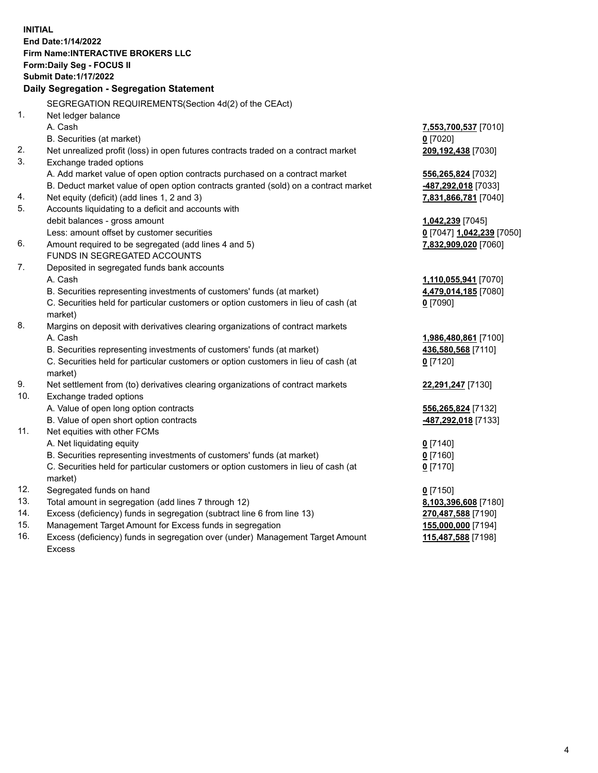**INITIAL End Date:1/14/2022 Firm Name:INTERACTIVE BROKERS LLC Form:Daily Seg - FOCUS II Submit Date:1/17/2022 Daily Segregation - Segregation Statement** SEGREGATION REQUIREMENTS(Section 4d(2) of the CEAct) 1. Net ledger balance A. Cash **7,553,700,537** [7010] B. Securities (at market) **0** [7020] 2. Net unrealized profit (loss) in open futures contracts traded on a contract market **209,192,438** [7030] 3. Exchange traded options A. Add market value of open option contracts purchased on a contract market **556,265,824** [7032] B. Deduct market value of open option contracts granted (sold) on a contract market **-487,292,018** [7033] 4. Net equity (deficit) (add lines 1, 2 and 3) **7,831,866,781** [7040] 5. Accounts liquidating to a deficit and accounts with debit balances - gross amount **1,042,239** [7045] Less: amount offset by customer securities **0** [7047] **1,042,239** [7050] 6. Amount required to be segregated (add lines 4 and 5) **7,832,909,020** [7060] FUNDS IN SEGREGATED ACCOUNTS 7. Deposited in segregated funds bank accounts A. Cash **1,110,055,941** [7070] B. Securities representing investments of customers' funds (at market) **4,479,014,185** [7080] C. Securities held for particular customers or option customers in lieu of cash (at market) **0** [7090] 8. Margins on deposit with derivatives clearing organizations of contract markets A. Cash **1,986,480,861** [7100] B. Securities representing investments of customers' funds (at market) **436,580,568** [7110] C. Securities held for particular customers or option customers in lieu of cash (at market) **0** [7120] 9. Net settlement from (to) derivatives clearing organizations of contract markets **22,291,247** [7130] 10. Exchange traded options A. Value of open long option contracts **556,265,824** [7132] B. Value of open short option contracts **-487,292,018** [7133] 11. Net equities with other FCMs A. Net liquidating equity **0** [7140] B. Securities representing investments of customers' funds (at market) **0** [7160] C. Securities held for particular customers or option customers in lieu of cash (at market) **0** [7170] 12. Segregated funds on hand **0** [7150] 13. Total amount in segregation (add lines 7 through 12) **8,103,396,608** [7180] 14. Excess (deficiency) funds in segregation (subtract line 6 from line 13) **270,487,588** [7190] 15. Management Target Amount for Excess funds in segregation **155,000,000** [7194] 16. Excess (deficiency) funds in segregation over (under) Management Target Amount Excess **115,487,588** [7198]